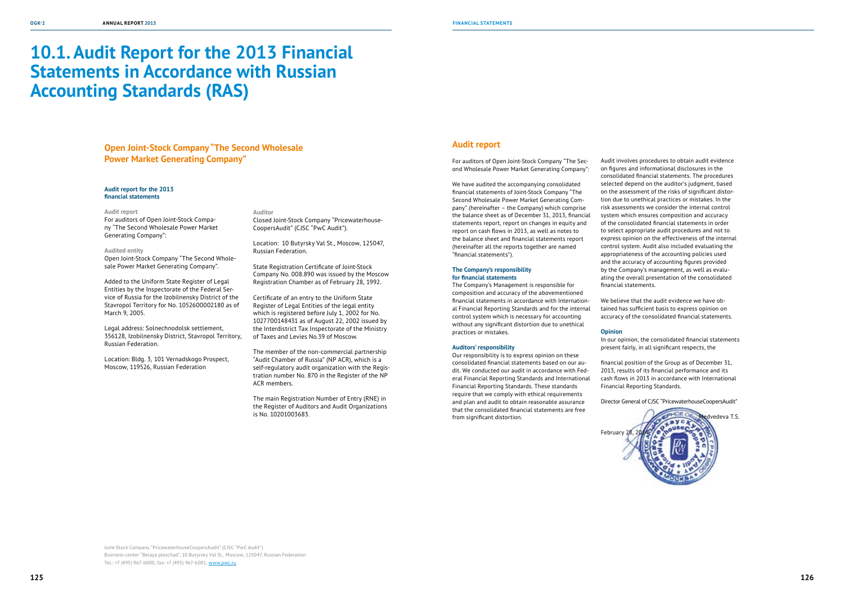# **10.1. Audit Report for the 2013 Financial Statements in Accordance with Russian Accounting Standards (RAS)**

#### **Audit report for the 2013 financial statements**

#### **Audit report**

For auditors of Open Joint-Stock Company "The Second Wholesale Power Market Generating Company":

#### **Audited entity**

Open Joint-Stock Company "The Second Wholesale Power Market Generating Company".

Added to the Uniform State Register of Legal Entities by the Inspectorate of the Federal Service of Russia for the Izobilnensky District of the Stavropol Territory for No. 1052600002180 as of March 9, 2005.

Legal address: Solnechnodolsk settlement, 356128, Izobilnensky District, Stavropol Territory, Russian Federation.

Location: Bldg. 3, 101 Vernadskogo Prospect, Moscow, 119526, Russian Federation

**Auditor**

Closed Joint-Stock Company "Pricewaterhouse-CoopersAudit" (CJSC "PwC Audit").

Location: 10 Butyrsky Val St., Moscow, 125047, Russian Federation.

State Registration Certificate of Joint-Stock Company No. 008.890 was issued by the Moscow Registration Chamber as of February 28, 1992.

Certificate of an entry to the Uniform State Register of Legal Entities of the legal entity which is registered before July 1, 2002 for No. 1027700148431 as of August 22, 2002 issued by the Interdistrict Tax Inspectorate of the Ministry of Taxes and Levies No.39 of Moscow.

The member of the non-commercial partnership "Audit Chamber of Russia" (NP ACR), which is a self-regulatory audit organization with the Registration number No. 870 in the Register of the NP ACR members.

The main Registration Number of Entry (RNE) in the Register of Auditors and Audit Organizations is No. 10201003683.

## **Open Joint-Stock Company "The Second Wholesale Power Market Generating Company"**

Joint-Stock Company "PricewaterhouseCoopersAudit" (CJSC "PwC Audit") Business-center "Belaya ploschad", 10 Butyrsky Val St., Moscow, 125047, Russian Federation Tel.: +7 (495) 967-6000, fax: +7 (495) 967-6001, www.pwc.ru

### **Audit report**

For auditors of Open Joint-Stock Company "The Second Wholesale Power Market Generating Company":

We have audited the accompanying consolidated financial statements of Joint-Stock Company "The Second Wholesale Power Market Generating Company" (hereinafter – the Company) which comprise the balance sheet as of December 31, 2013, financial statements report, report on changes in equity and report on cash flows in 2013, as well as notes to the balance sheet and financial statements report (hereinafter all the reports together are named "financial statements").

#### **The Company's responsibility for financial statements**

The Company's Management is responsible for composition and accuracy of the abovementioned financial statements in accordance with International Financial Reporting Standards and for the internal control system which is necessary for accounting without any significant distortion due to unethical practices or mistakes.

#### **Auditors' responsibility**

Our responsibility is to express opinion on these consolidated financial statements based on our audit. We conducted our audit in accordance with Federal Financial Reporting Standards and International Financial Reporting Standards. These standards require that we comply with ethical requirements and plan and audit to obtain reasonable assurance that the consolidated financial statements are free from significant distortion.

Audit involves procedures to obtain audit evidence on figures and informational disclosures in the consolidated financial statements. The procedures selected depend on the auditor's judgment, based on the assessment of the risks of significant distortion due to unethical practices or mistakes. In the risk assessments we consider the internal control system which ensures composition and accuracy of the consolidated financial statements in order to select appropriate audit procedures and not to express opinion on the effectiveness of the internal control system. Audit also included evaluating the appropriateness of the accounting policies used and the accuracy of accounting figures provided by the Company's management, as well as evaluating the overall presentation of the consolidated financial statements.

We believe that the audit evidence we have obtained has sufficient basis to express opinion on accuracy of the consolidated financial statements.

#### **Opinion**

In our opinion, the consolidated financial statements present fairly, in all significant respects, the

financial position of the Group as of December 31, 2013, results of its financial performance and its cash flows in 2013 in accordance with International Financial Reporting Standards.

Director General of CJSC "PricewaterhouseCoopersAudit"

February

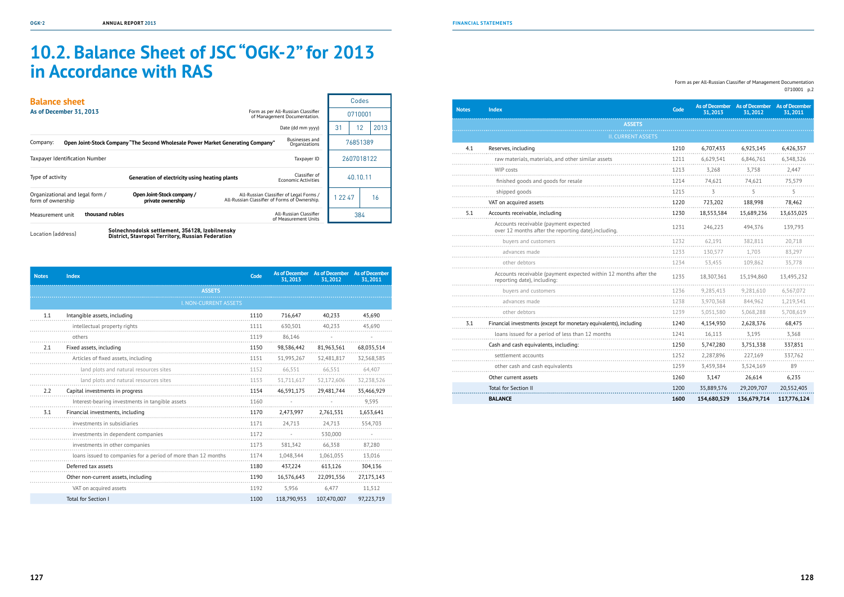# **10.2. Balance Sheet of JSC "OGK-2" for 2013 in Accordance with RAS**

Location (address) **Solnechnodolsk settlement, 356128, Izobilnensky District, Stavropol Territory, Russian Federation** 

| <b>Balance sheet</b>    |                                 |                                                                                 |                                               |                                                                    |         | Codes      |      |
|-------------------------|---------------------------------|---------------------------------------------------------------------------------|-----------------------------------------------|--------------------------------------------------------------------|---------|------------|------|
| As of December 31, 2013 |                                 |                                                                                 |                                               | Form as per All-Russian Classifier<br>of Management Documentation. |         | 0710001    |      |
|                         |                                 |                                                                                 |                                               | Date (dd mm yyyy)                                                  | 31      | 12         | 2013 |
| Company:                |                                 | Open Joint-Stock Company "The Second Wholesale Power Market Generating Company" |                                               | <b>Businesses and</b><br>Organizations                             |         | 76851389   |      |
|                         | Taxpayer Identification Number  |                                                                                 |                                               | Taxpayer ID                                                        |         | 2607018122 |      |
| Type of activity        |                                 | Generation of electricity using heating plants                                  |                                               | Classifier of<br><b>Economic Activities</b>                        |         | 40.10.11   |      |
| form of ownership       | Organizational and legal form / | Open Joint-Stock company /<br>private ownership                                 | All-Russian Classifier of Forms of Ownership. | All-Russian Classifier of Legal Forms /                            | 1 22 47 |            | 16   |
| Measurement unit        | thousand rubles                 |                                                                                 |                                               | All-Russian Classifier<br>of Measurement Units                     |         | 384        |      |
|                         |                                 | Solnechnodolsk settlement 356128 Izobilnensky                                   |                                               |                                                                    |         |            |      |

| <b>Notes</b> | <b>Index</b>                                                                                    | Code | As of December<br>31, 2013 | <b>As of December</b><br>31,2012 | <b>As of December</b><br>31,2011 |
|--------------|-------------------------------------------------------------------------------------------------|------|----------------------------|----------------------------------|----------------------------------|
|              | <b>ASSETS</b>                                                                                   |      |                            |                                  |                                  |
|              | <b>II. CURRENT ASSETS</b>                                                                       |      |                            |                                  |                                  |
| 4.1          | Reserves, including                                                                             | 1210 | 6,707,433                  | 6,925,145                        | 6,426,357                        |
|              | raw materials, materials, and other similar assets                                              | 1211 | 6,629,541                  | 6,846,761                        | 6,348,326                        |
|              | <b>WIP costs</b>                                                                                | 1213 | 3,268                      | 3,758                            | 2,447                            |
|              | finished goods and goods for resale                                                             | 1214 | 74,621                     | 74,621                           | 75,579                           |
|              | shipped goods                                                                                   | 1215 | 3                          | 5                                | 5                                |
|              | VAT on acquired assets                                                                          | 1220 | 723,202                    | 188,998                          | 78,462                           |
| 5.1          | Accounts receivable, including                                                                  | 1230 | 18,553,584                 | 15,689,236                       | 13,635,025                       |
|              | Accounts receivable (payment expected<br>over 12 months after the reporting date), including.   | 1231 | 246,223                    | 494,376                          | 139,793                          |
|              | buyers and customers                                                                            | 1232 | 62.191                     | 382,811                          | 20,718                           |
|              | advances made                                                                                   | 1233 | 130,577                    | 1,703                            | 83,297                           |
|              | other debtors                                                                                   | 1234 | 53,455                     | 109,862                          | 35,778                           |
|              | Accounts receivable (payment expected within 12 months after the<br>reporting date), including: | 1235 | 18,307,361                 | 15,194,860                       | 13,495,232                       |
|              | buyers and customers                                                                            | 1236 | 9,285,413                  | 9,281,610                        | 6,567,072                        |
|              | advances made                                                                                   | 1238 | 3,970,368                  | 844,962                          | 1,219,541                        |
|              | other debtors                                                                                   | 1239 | 5,051,580                  | 5,068,288                        | 5,708,619                        |
| 3.1          | Financial investments (except for monetary equivalents), including                              | 1240 | 4,154,930                  | 2,628,376                        | 68,475                           |
|              | loans issued for a period of less than 12 months                                                | 1241 | 16,113                     | 3,195                            | 3,368                            |
|              | Cash and cash equivalents, including:                                                           | 1250 | 5,747,280                  | 3,751,338                        | 337,851                          |
|              | settlement accounts                                                                             | 1252 | 2,287,896                  | 227,169                          | 337,762                          |
|              | other cash and cash equivalents                                                                 | 1259 | 3,459,384                  | 3,524,169                        | 89                               |
|              | Other current assets                                                                            | 1260 | 3,147                      | 26,614                           | 6,235                            |
|              | <b>Total for Section II</b>                                                                     | 1200 | 35,889,576                 | 29,209,707                       | 20,552,405                       |
|              | <b>BALANCE</b>                                                                                  | 1600 | 154,680,529                | 136,679,714                      | 117,776,124                      |

| <b>Notes</b> | <b>Index</b>                                                  | Code | 31.2013     | As of December As of December<br>31.2012 | <b>As of December</b><br>31,2011 |
|--------------|---------------------------------------------------------------|------|-------------|------------------------------------------|----------------------------------|
|              | <b>ASSETS</b>                                                 |      |             |                                          |                                  |
|              | <b>I. NON-CURRENT ASSETS</b>                                  |      |             |                                          |                                  |
| 1.1          | Intangible assets, including                                  | 1110 | 716,647     | 40,233                                   | 45,690                           |
|              | intellectual property rights                                  | 1111 | 630,501     | 40.233                                   | 45.690                           |
|              | others                                                        | 1119 | 86,146      |                                          |                                  |
| 2.1          | Fixed assets, including                                       | 1150 | 98,586,442  | 81,963,561                               | 68,035,514                       |
|              | Articles of fixed assets, including                           | 1151 | 51,995,267  | 52,481,817                               | 32,568,585                       |
|              | land plots and natural resources sites                        | 1152 | 66,551      | 66,551                                   | 64,407                           |
|              | land plots and natural resources sites                        | 1153 | 51,711,617  | 52,172,606                               | 32,238,526                       |
| 2.2          | Capital investments in progress                               | 1154 | 46,591,175  | 29,481,744                               | 35,466,929                       |
|              | Interest-bearing investments in tangible assets               | 1160 |             |                                          | 9,595                            |
| 3.1          | Financial investments, including                              | 1170 | 2,473,997   | 2,761,531                                | 1,653,641                        |
|              | investments in subsidiaries                                   | 1171 | 24,713      | 24,713                                   | 554,703                          |
|              | investments in dependent companies                            | 1172 |             | 530,000                                  |                                  |
|              | investments in other companies                                | 1173 | 581,342     | 66,358                                   | 87,280                           |
|              | loans issued to companies for a period of more than 12 months | 1174 | 1,048,344   | 1,061,055                                | 13,016                           |
|              | Deferred tax assets                                           | 1180 | 437,224     | 613,126                                  | 304,136                          |
|              | Other non-current assets, including                           | 1190 | 16,576,643  | 22,091,556                               | 27,175,143                       |
|              | VAT on acquired assets                                        | 1192 | 5,956       | 6,477                                    | 11,512                           |
|              | <b>Total for Section I</b>                                    | 1100 | 118,790,953 | 107,470,007                              | 97,223,719                       |

Form as per All-Russian Classifier of Management Documentation 0710001 p.2